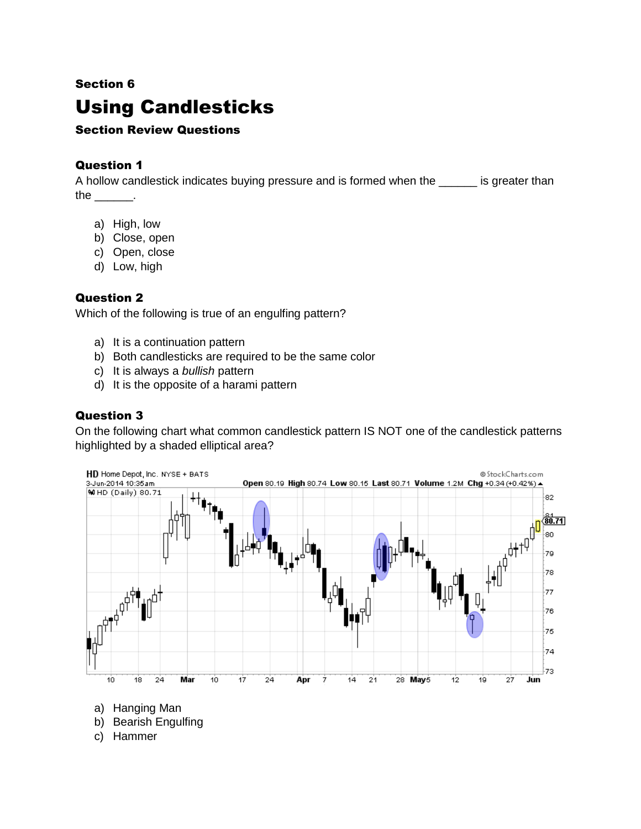# Section 6 Using Candlesticks

# Section Review Questions

## Question 1

A hollow candlestick indicates buying pressure and is formed when the same is greater than the  $\rule{1em}{0.15mm}$ .

- a) High, low
- b) Close, open
- c) Open, close
- d) Low, high

#### Question 2

Which of the following is true of an engulfing pattern?

- a) It is a continuation pattern
- b) Both candlesticks are required to be the same color
- c) It is always a *bullish* pattern
- d) It is the opposite of a harami pattern

# Question 3

On the following chart what common candlestick pattern IS NOT one of the candlestick patterns highlighted by a shaded elliptical area?



- a) Hanging Man
- b) Bearish Engulfing
- c) Hammer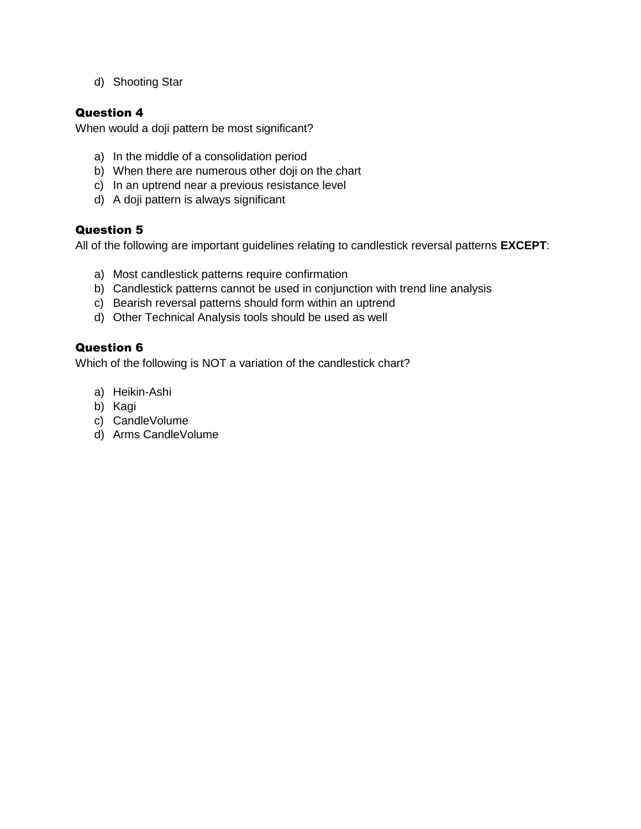d) Shooting Star

### Question 4

When would a doji pattern be most significant?

- a) In the middle of a consolidation period
- b) When there are numerous other doji on the chart
- c) In an uptrend near a previous resistance level
- d) A doji pattern is always significant

#### Question 5

All of the following are important guidelines relating to candlestick reversal patterns **EXCEPT**:

- a) Most candlestick patterns require confirmation
- b) Candlestick patterns cannot be used in conjunction with trend line analysis
- c) Bearish reversal patterns should form within an uptrend
- d) Other Technical Analysis tools should be used as well

#### Question 6

Which of the following is NOT a variation of the candlestick chart?

- a) Heikin-Ashi
- b) Kagi
- c) CandleVolume
- d) Arms CandleVolume